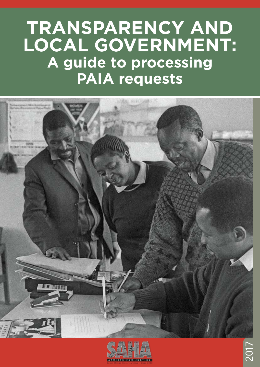## **TRANSPARENCY AND LOCAL GOVERNMENT: A guide to processing PAIA requests**



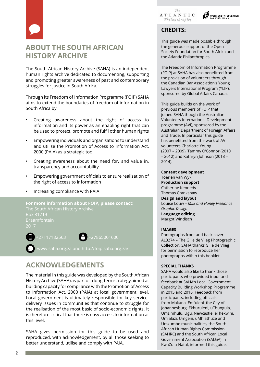





## **CREDITS:**

This guide was made possible through the generous support of the Open Society Foundation for South Africa and the Atlantic Philanthropies.

The Freedom of Information Programme (FOIP) at SAHA has also benefitted from the provision of volunteers through the Canadian Bar Association's Young Lawyers International Program (YLIP), sponsored by Global Affairs Canada.

This guide builds on the work of previous members of FOIP that joined SAHA though the Australian Volunteers International Development programme (AVI), sponsored by the Australian Department of Foreign Affairs and Trade. In particular this guide has benefitted from the work of AVI volunteers Charlotte Young (2007 – 2009), Tammy O'Connor (2010 – 2012) and Kathryn Johnson (2013 – 2014).

**Content development**  Toerien van Wyk **Production support** Catherine Kennedy Thomas Crankshaw **Design and layout** Louise Louw – *Milk and Honey Freelance Graphic Design* **Language editing** Margot Windisch

#### **IMAGES**

Photographs front and back cover: AL3274 – The Gille de Vlieg Photographic Collection. SAHA thanks Gille de Vlieg for permission to reproduce her photographs within this booklet.

#### **SPECIAL THANKS**

SAHA would also like to thank those participants who provided input and feedback at SAHA's Local Government Capacity Building Workshop Programme in 2015 and 2016. Feedback from participants, including officials from Makana, Emfuleni, the City of Johannesburg, Ekhuruleni, uThungula, Umzimhulu, Ugu, Newcastle, eThekwini, Umlalazi, Umgeni, uMhlathuze and Umzumbe municipalities, the South African Human Rights Commission (SAHRC) and the South African Local Government Association (SALGA) in KwaZulu-Natal, informed this guide.

## **ABOUT THE SOUTH AFRICAN HISTORY ARCHIVE**

The South African History Archive (SAHA) is an independent human rights archive dedicated to documenting, supporting and promoting greater awareness of past and contemporary struggles for justice in South Africa.

Through its Freedom of Information Programme (FOIP) SAHA aims to extend the boundaries of freedom of information in South Africa by:

- Creating awareness about the right of access to information and its power as an enabling right that can be used to protect, promote and fulfil other human rights
- Empowering individuals and organisations to understand and utilise the Promotion of Access to Information Act, 2000 (PAIA) as a strategic tool
- Creating awareness about the need for, and value in, transparency and accountability
- Empowering government officials to ensure realisation of the right of access to information
- Increasing compliance with PAIA

**For more information about FOIP, please contact:** The South African History Archive Box 31719 2017



+27117182563 +27865001600

www.saha.org.za and http://foip.saha.org.za/

## **ACKNOWLEDGEMENTS**

The material in this guide was developed by the South African History Archive (SAHA) as part of a long-term strategy aimed at building capacity for compliance with the Promotion of Access to Information Act, 2000 (PAIA) at local government level. Local government is ultimately responsible for key servicedelivery issues in communities that continue to struggle for the realisation of the most basic of socio-economic rights. It is therefore critical that there is easy access to information at this level.

SAHA gives permission for this guide to be used and reproduced, with acknowledgement, by all those seeking to better understand, utilise and comply with PAIA.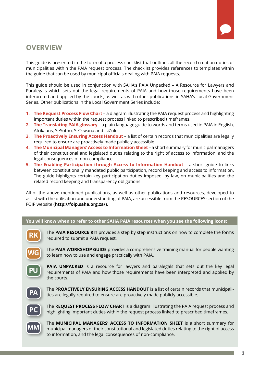## **OVERVIEW**

This guide is presented in the form of a process checklist that outlines all the record creation duties of municipalities within the PAIA request process. The checklist provides references to templates within the guide that can be used by municipal officials dealing with PAIA requests.

This guide should be used in conjunction with SAHA's PAIA Unpacked – A Resource for Lawyers and Paralegals which sets out the legal requirements of PAIA and how those requirements have been interpreted and applied by the courts, as well as with other publications in SAHA's Local Government Series. Other publications in the Local Government Series include:

- **1. The Request Process Flow Chart** a diagram illustrating the PAIA request process and highlighting important duties within the request process linked to prescribed timeframes.
- **2. The Translating PAIA glossary** a plain language guide to words and terms used in PAIA in English, Afrikaans, SeSotho, SeTswana and IsiZulu.
- **3. The Proactively Ensuring Access Handout** a list of certain records that municipalities are legally required to ensure are proactively made publicly accessible.
- **4. The Municipal Managers' Access to Information Sheet** a short summary for municipal managers of their constitutional and legislated duties relating to the right of access to information, and the legal consequences of non-compliance.
- **5. The Enabling Participation through Access to Information Handout** a short guide to links between constitutionally mandated public participation, record keeping and access to information. The guide highlights certain key participation duties imposed, by law, on municipalities and the related record keeping and transparency obligations.

All of the above mentioned publications, as well as other publications and resources, developed to assist with the utilisation and understanding of PAIA, are accessible from the RESOURCES section of the FOIP website **(http://foip.saha.org.za/)**.

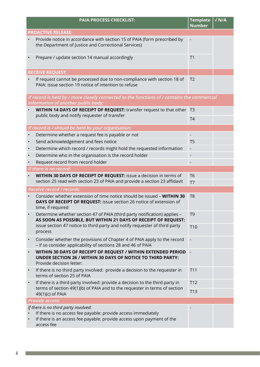|           | <b>PAIA PROCESS CHECKLIST:</b>                                                                                                                                                               | <b>Template</b><br><b>Number</b> | $\sqrt{N/A}$ |
|-----------|----------------------------------------------------------------------------------------------------------------------------------------------------------------------------------------------|----------------------------------|--------------|
|           | <b>PROACTIVE RELEASE:</b>                                                                                                                                                                    |                                  |              |
|           | Provide notice in accordance with section 15 of PAIA (form prescribed by<br>the Department of Justice and Correctional Services)                                                             |                                  |              |
|           | Prepare / update section 14 manual accordingly                                                                                                                                               | T <sub>1</sub>                   |              |
|           | <b>RECEIVE REQUEST:</b>                                                                                                                                                                      |                                  |              |
|           | If request cannot be processed due to non-compliance with section 18 of<br>PAIA: issue section 19 notice of intention to refuse                                                              | T <sub>2</sub>                   |              |
|           | If record is held by / more closely connected to the functions of / contains the commercial<br>information of another public body:                                                           |                                  |              |
|           | WITHIN 14 DAYS OF RECEIPT OF REQUEST: transfer request to that other                                                                                                                         | T <sub>3</sub>                   |              |
|           | public body and notify requester of transfer                                                                                                                                                 | T <sub>4</sub>                   |              |
|           | If record is / should be held by your organisation:                                                                                                                                          |                                  |              |
| $\bullet$ | Determine whether a request fee is payable or not                                                                                                                                            | $\frac{1}{2}$                    |              |
| $\bullet$ | Send acknowledgement and fees notice                                                                                                                                                         | T <sub>5</sub>                   |              |
| $\bullet$ | Determine which record / records might hold the requested information                                                                                                                        |                                  |              |
| $\bullet$ | Determine who in the organisation is the record holder                                                                                                                                       |                                  |              |
|           | Request record from record holder                                                                                                                                                            |                                  |              |
|           | If there is no record:                                                                                                                                                                       |                                  |              |
| $\bullet$ | WITHIN 30 DAYS OF RECEIPT OF REQUEST: issue a decision in terms of                                                                                                                           | T <sub>6</sub>                   |              |
|           | section 25 read with section 23 of PAIA and provide a section 23 affidavit                                                                                                                   | T <sub>7</sub>                   |              |
|           | Receive record / records:                                                                                                                                                                    |                                  |              |
|           | Consider whether extension of time notice should be issued - WITHIN 30<br>DAYS OF RECEIPT OF REQUEST: issue section 26 notice of extension of<br>time, if required                           | T <sub>8</sub>                   |              |
|           | Determine whether section 47 of PAIA (third party notification) applies -<br>AS SOON AS POSSIBLE, BUT WITHIN 21 DAYS OF RECEIPT OF REQUEST:                                                  | T <sub>9</sub>                   |              |
|           | issue section 47 notice to third party and notify requester of third party<br>process                                                                                                        | T <sub>10</sub>                  |              |
| $\bullet$ | Consider whether the provisions of Chapter 4 of PAIA apply to the record<br>- if so consider applicability of sections 28 and 46 of PAIA                                                     | $\frac{1}{2}$                    |              |
| $\bullet$ | WITHIN 30 DAYS OF RECEIPT OF REQUEST / WITHIN EXTENDED PERIOD<br><b>UNDER SECTION 26 / WITHIN 30 DAYS OF NOTICE TO THIRD PARTY:</b><br>Provide decision letter:                              | $\overline{\phantom{a}}$         |              |
| $\bullet$ | If there is no third party involved: provide a decision to the requester in<br>terms of section 25 of PAIA                                                                                   | T11                              |              |
| $\bullet$ | If there is a third party involved: provide a decision to the third party in                                                                                                                 | T12                              |              |
|           | terms of section 49(1)(b) of PAIA and to the requester in terms of section<br>49(1)(c) of PAIA                                                                                               | T13                              |              |
|           | <b>Provide access:</b>                                                                                                                                                                       |                                  |              |
|           | If there is no third party involved:<br>If there is no access fee payable: provide access immediately<br>If there is an access fee payable: provide access upon payment of the<br>access fee |                                  |              |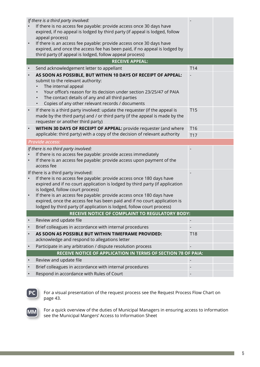|           | If there is a third party involved:<br>If there is no access fee payable: provide access once 30 days have<br>expired, if no appeal is lodged by third party (if appeal is lodged, follow<br>appeal process)<br>If there is an access fee payable: provide access once 30 days have<br>expired, and once the access fee has been paid, if no appeal is lodged by<br>third party (if appeal is lodged, follow appeal process)                                   |                 |  |
|-----------|----------------------------------------------------------------------------------------------------------------------------------------------------------------------------------------------------------------------------------------------------------------------------------------------------------------------------------------------------------------------------------------------------------------------------------------------------------------|-----------------|--|
|           | <b>RECEIVE APPEAL:</b>                                                                                                                                                                                                                                                                                                                                                                                                                                         |                 |  |
|           | Send acknowledgement letter to appellant                                                                                                                                                                                                                                                                                                                                                                                                                       | T14             |  |
| $\bullet$ | AS SOON AS POSSIBLE, BUT WITHIN 10 DAYS OF RECEIPT OF APPEAL:<br>submit to the relevant authority:<br>The internal appeal<br>Your office's reason for its decision under section 23/25/47 of PAIA<br>The contact details of any and all third parties<br>Copies of any other relevant records / documents<br>$\bullet$                                                                                                                                         |                 |  |
|           | If there is a third party involved: update the requester (if the appeal is<br>made by the third party) and / or third party (if the appeal is made by the<br>requester or another third party)                                                                                                                                                                                                                                                                 | T <sub>15</sub> |  |
| $\bullet$ | WITHIN 30 DAYS OF RECEIPT OF APPEAL: provide requester (and where                                                                                                                                                                                                                                                                                                                                                                                              | T16             |  |
|           | applicable: third party) with a copy of the decision of relevant authority                                                                                                                                                                                                                                                                                                                                                                                     | <b>T17</b>      |  |
|           | <b>Provide access:</b>                                                                                                                                                                                                                                                                                                                                                                                                                                         |                 |  |
|           | If there is no third party involved:<br>If there is no access fee payable: provide access immediately<br>If there is an access fee payable: provide access upon payment of the<br>access fee                                                                                                                                                                                                                                                                   |                 |  |
| $\bullet$ | If there is a third party involved:<br>If there is no access fee payable: provide access once 180 days have<br>expired and if no court application is lodged by third party (if application<br>is lodged, follow court process)<br>If there is an access fee payable: provide access once 180 days have<br>expired, once the access fee has been paid and if no court application is<br>lodged by third party (if application is lodged, follow court process) |                 |  |
|           | <b>RECEIVE NOTICE OF COMPLAINT TO REGULATORY BODY:</b>                                                                                                                                                                                                                                                                                                                                                                                                         |                 |  |
|           | Review and update file                                                                                                                                                                                                                                                                                                                                                                                                                                         |                 |  |
|           | Brief colleagues in accordance with internal procedures                                                                                                                                                                                                                                                                                                                                                                                                        |                 |  |
|           | AS SOON AS POSSIBLE BUT WITHIN TIMEFRAME PROVIDED:<br>acknowledge and respond to allegations letter                                                                                                                                                                                                                                                                                                                                                            | T18             |  |
|           | Participate in any arbitration / dispute resolution process                                                                                                                                                                                                                                                                                                                                                                                                    |                 |  |
|           | RECEIVE NOTICE OF APPLICATION IN TERMS OF SECTION 78 OF PAIA:                                                                                                                                                                                                                                                                                                                                                                                                  |                 |  |
|           | Review and update file                                                                                                                                                                                                                                                                                                                                                                                                                                         |                 |  |
|           | Brief colleagues in accordance with internal procedures                                                                                                                                                                                                                                                                                                                                                                                                        |                 |  |
|           | Respond in accordance with Rules of Court                                                                                                                                                                                                                                                                                                                                                                                                                      |                 |  |



For a visual presentation of the request process see the Request Process Flow Chart on page 43.



For a quick overview of the duties of Municipal Managers in ensuring access to information see the Municipal Mangers' Access to Information Sheet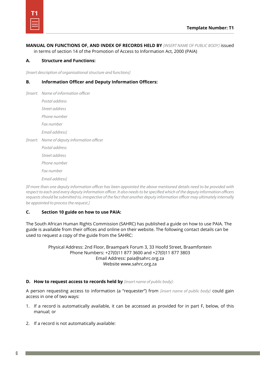**MANUAL ON FUNCTIONS OF, AND INDEX OF RECORDS HELD BY** *[INSERT NAME OF PUBLIC BODY]* issued in terms of section 14 of the Promotion of Access to Information Act, 2000 (PAIA)

#### **A. Structure and Functions:**

*[Insert description of organisational structure and functions]*

#### **B. Information Officer and Deputy Information Officers:**

*[Insert: Name of information officer Postal address Street address Phone number Fax number Email address] [Insert: Name of deputy information officer Postal address Street address Phone number Fax number Email address]*

*[If more than one deputy information officer has been appointed the above mentioned details need to be provided with respect to each and every deputy information officer. It also needs to be specified which of the deputy information officers requests should be submitted to, irrespective of the fact that another deputy information officer may ultimately internally be appointed to process the request.]*

#### **C. Section 10 guide on how to use PAIA:**

The South African Human Rights Commission (SAHRC) has published a guide on how to use PAIA. The guide is available from their offices and online on their website. The following contact details can be used to request a copy of the guide from the SAHRC:

> Physical Address: 2nd Floor, Braampark Forum 3, 33 Hoofd Street, Braamfontein Phone Numbers: +27(0)11 877 3600 and +27(0)11 877 3803 Email Address: paia@sahrc.org.za Website www.sahrc.org.za

#### **D. How to request access to records held by** *[insert name of public body]:*

A person requesting access to information (a "requester") from *[insert name of public body]* could gain access in one of two ways:

- 1. If a record is automatically available, it can be accessed as provided for in part F, below, of this manual; or
- 2. If a record is not automatically available: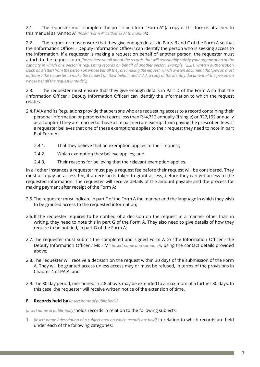2.1. The requester must complete the prescribed form "Form A" (a copy of this form is attached to this manual as "Annex A" *[Insert "Form A" as "Annex A" to manual]*;

2.2. The requester must ensure that they give enough details in Parts B and C of the Form A so that the *[*Information Officer */* Deputy Information Officer*]* can identify the person who is seeking access to the information. If a requester is making a request on behalf of another person, the requester must attach to the request form *[insert here detail about the records that will reasonably satisfy your organisation of the capacity in which one person is requesting records on behalf of another person, example: "2.2.1. written authorisation (such as a letter) from the person on whose behalf they are making the request, which written document that person must authorise the requester to make the request on their behalf; and 2.2.2. a copy of the identity document of the person on whose behalf the request is made"]*;

2.3. The requester must ensure that they give enough details in Part D of the Form A so that the *[*Information Officer */* Deputy Information Officer*]* can identify the information to which the request relates.

- 2.4.PAIA and its Regulations provide that persons who are requesting access to a record containing their personal information or persons that earns less than R14,712 annually (if single) or R27,192 annually as a couple (if they are married or have a life partner) are exempt from paying the prescribed fees. If a requester believes that one of these exemptions applies to their request they need to note in part E of Form A:
	- 2.4.1. That they believe that an exemption applies to their request;
	- 2.4.2. Which exemption they believe applies; and
	- 2.4.3. Their reasons for believing that the relevant exemption applies.

In all other instances a requester must pay a request fee before their request will be considered. They must also pay an access fee, if a decision is taken to grant access, before they can get access to the requested information. The requester will receive details of the amount payable and the process for making payment after receipt of the Form A;

- 2.5.The requester must indicate in part F of the Form A the manner and the language in which they wish to be granted access to the requested information;
- 2.6.If the requester requires to be notified of a decision on the request in a manner other than in writing, they need to note this in part G of the Form A. They also need to give details of how they require to be notified, in part G of the Form A;
- 2.7.The requester must submit the completed and signed Form A to *[*the Information Officer */* the Deputy Information Officer */* Ms */* Mr *[insert name and surname]]*, using the contact details provided above;
- 2.8.The requester will receive a decision on the request within 30 days of the submission of the Form A. They will be granted access unless access may or must be refused, in terms of the provisions in Chapter 4 of PAIA; and
- 2.9.The 30 day period, mentioned in 2.8 above, may be extended to a maximum of a further 30 days. In this case, the requester will receive written notice of the extension of time.

#### **E. Records held by** *[insert name of public body]*

*[Insert name of public body]* holds records in relation to the following subjects:

1. *[Insert name / description of a subject area on which records are held]* in relation to which records are held under each of the following categories: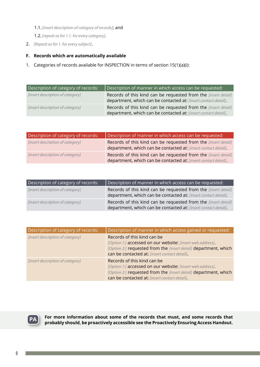- 1.1.*[insert description of category of records]*; and
- 1.2.*[repeat as for 1.1. for every category]*.
- 2. *[Repeat as for 1. for every subject]*.

#### **F. Records which are automatically available**

1. Categories of records available for INSPECTION in terms of section 15(1)(a)(i):

| Description of category of records: | Description of manner in which access can be requested:                                                                           |
|-------------------------------------|-----------------------------------------------------------------------------------------------------------------------------------|
| [insert description of category]    | Records of this kind can be requested from the [insert detail]<br>department, which can be contacted at: [insert contact detail]. |
| [insert description of category]    | Records of this kind can be requested from the [insert detail]<br>department, which can be contacted at: [insert contact detail]. |

| Description of category of records: | Description of manner in which access can be requested:                                                                                  |
|-------------------------------------|------------------------------------------------------------------------------------------------------------------------------------------|
| [insert description of category]    | Records of this kind can be requested from the <i>[insert detail]</i><br>department, which can be contacted at: [insert contact detail]. |
| [insert description of category]    | Records of this kind can be requested from the [insert detail]<br>department, which can be contacted at: [insert contact detail].        |

| Description of category of records: | Description of manner in which access can be requested:                                                                           |
|-------------------------------------|-----------------------------------------------------------------------------------------------------------------------------------|
| [insert description of category]    | Records of this kind can be requested from the [insert detail]<br>department, which can be contacted at: [insert contact detail]. |
| [insert description of category]    | Records of this kind can be requested from the [insert detail]<br>department, which can be contacted at: [insert contact detail]. |

| Description of category of records: | Description of manner in which access gained or requested:                                                                                                                                                     |
|-------------------------------------|----------------------------------------------------------------------------------------------------------------------------------------------------------------------------------------------------------------|
| [insert description of category]    | Records of this kind can be<br>[Option 1:] accessed on our website: [insert web address].<br>[Option 2:] requested from the [insert detail] department, which<br>can be contacted at: [insert contact detail]. |
| [insert description of category]    | Records of this kind can be<br>[Option 1:] accessed on our website: [insert web address]<br>[Option 2:] requested from the [insert detail] department, which<br>can be contacted at: [insert contact detail].  |



**For more information about some of the records that must, and some records that pa** For more information about some of the records that must, and some records that probably should, be proactively accessible see the Proactively Ensuring Access Handout.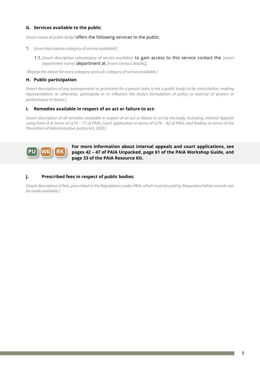#### **G. Services available to the public**

*[Insert name of public body]* offers the following services to the public:

#### 1. *[Insert description category of service available]*:

1.1.*[Insert description subcategory of service available]* to gain access to this service contact the *[insert department name]* department at *[insert contact details]*;

*[Repeat the above for every category and sub-category of service available.]*

#### **H. Public participation**

*[Insert description of any arrangements or provisions for a person (who is not a public body) to by consultation, making representations or otherwise, participate in or influence the body's formulation of policy or exercise of powers or performance of duties.]*

#### **I. Remedies available in respect of an act or failure to act:**

*[Insert description of all remedies available in respect of an act or failure to act by the body, including: Internal Appeals using Form B in terms of ss74 – 77 of PAIA; Court application in terms of ss78 – 82 of PAIA; and Redress in terms of the Promotion of Administrative Justice Act, 2000.]*



**For more information about internal appeals and court applications, see pages 42 – 47 of PAIA Unpacked, page 61 of the PAIA Workshop Guide, and page 33 of the PAIA Resource Kit.**

#### **J. Prescribed fees in respect of public bodies:**

*[Insert description of fees, prescribed in the Regulations under PAIA, which must be paid by Requesters before records can be made available.]*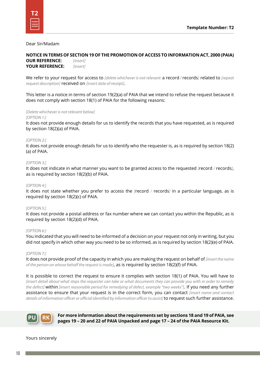| --<br>-- |  |
|----------|--|

#### Dear Sir/Madam

**NOTICE IN TERMS OF SECTION 19 OF THE PROMOTION OF ACCESS TO INFORMATION ACT, 2000 (PAIA) OUR REFERENCE:** *[insert]*

**YOUR REFERENCE:** *[insert]*

We refer to your request for access to *[delete whichever is not relevant:* a record */* records*]* related to *[repeat request description]* received on *[insert date of receipt]*.

This letter is a notice in terms of section 19(2)(a) of PAIA that we intend to refuse the request because it does not comply with section 18(1) of PAIA for the following reasons:

*[Delete whichever is not relevant below]*

#### *[OPTION 1:]*

It does not provide enough details for us to identify the records that you have requested, as is required by section 18(2)(a) of PAIA.

#### *[OPTION 2:]*

It does not provide enough details for us to identify who the requester is, as is required by section 18(2) (a) of PAIA.

#### *[OPTION 3:]*

It does not indicate in what manner you want to be granted access to the requested *[*record */* records*]*, as is required by section 18(2)(b) of PAIA.

#### *[OPTION 4:]*

It does not state whether you prefer to access the *[*record */* records*]* in a particular language, as is required by section 18(2)(c) of PAIA.

#### *[OPTION 5:]*

It does not provide a postal address or fax number where we can contact you within the Republic, as is required by section 18(2)(d) of PAIA.

#### *[OPTION 6:]*

You indicated that you will need to be informed of a decision on your request not only in writing, but you did not specify in which other way you need to be so informed, as is required by section 18(2)(e) of PAIA.

#### *[OPTION 7:]*

It does not provide proof of the capacity in which you are making the request on behalf of *[insert the name of the person on whose behalf the request is made]*, as is required by section 18(2)(f) of PAIA.

It is possible to correct the request to ensure it complies with section 18(1) of PAIA. You will have to *[insert detail about what steps the requester can take or what documents they can provide you with in order to remedy the defect]* within *[insert reasonable period for remedying of defect, example "two weeks"]*. If you need any further assistance to ensure that your request is in the correct form, you can contact *[insert name and contact details of information officer or official identified by information officer to assist]* to request such further assistance.



**For more information about the requirements set by sections 18 and 19 of PAIA, see pages 19 – 20 and 22 of PAIA Unpacked and page 17 – 24 of the PAIA Resource Kit.**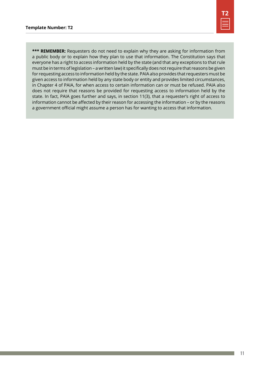

\*\*\* REMEMBER: Requesters do not need to explain why they are asking for information from a public body or to explain how they plan to use that information. The Constitution says that everyone has a right to access information held by the state (and that any exceptions to that rule must be in terms of legislation – a written law) it specifically does not require that reasons be given for requesting access to information held by the state. PAIA also provides that requesters must be given access to information held by any state body or entity and provides limited circumstances, in Chapter 4 of PAIA, for when access to certain information can or must be refused. PAIA also does not require that reasons be provided for requesting access to information held by the state. In fact, PAIA goes further and says, in section 11(3), that a requester's right of access to information cannot be affected by their reason for accessing the information – or by the reasons a government official might assume a person has for wanting to access that information.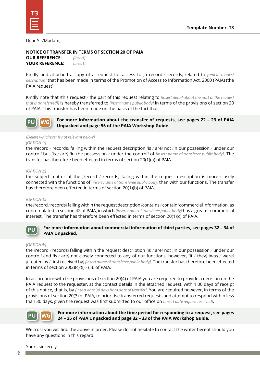Dear Sir/Madam,

#### **NOTICE OF TRANSFER IN TERMS OF SECTION 20 OF PAIA**

**OUR REFERENCE:** *[insert]* **YOUR REFERENCE:** *[insert]*

Kindly find attached a copy of a request for access to *[*a record */* records*]* related to *[repeat request description]* that has been made in terms of the Promotion of Access to Information Act, 2000 (PAIA) (the PAIA request).

Kindly note that *[*this request */* the part of this request relating to *[insert detail about the part of the request that is transferred]]* is hereby transferred to *[insert name public body]* in terms of the provisions of section 20 of PAIA. This transfer has been made on the basis of the fact that

**For more information about the transfer of requests, see pages 22 – 23 of PAIA Unpacked and page 55 of the PAIA Workshop Guide. PU WG**

#### *[Delete whichever is not relevant below] [OPTION 1:]*

the *[*record */* records*]* falling within the request description *[*is */* are*]* not *[*in our possession */* under our control*]* but *[*is */* are*] [*in the possession */* under the control*]* of *[insert name of transferee public body]*. The transfer has therefore been effected in terms of section 20(1)(a) of PAIA.

#### *[OPTION 2:]*

the subject matter of the *[*record */* records*]* falling within the request description is more closely connected with the functions of *[insert name of transferee public body]* than with our functions. The transfer has therefore been effected in terms of section 20(1)(b) of PAIA.

#### *[OPTION 3:]*

the *[*record */* records*]* falling within the request description *[*contains */* contain*]* commercial information, as contemplated in section 42 of PAIA, in which *[insert name of transferee public body]* has a greater commercial interest. The transfer has therefore been effected in terms of section 20(1)(c) of PAIA.



#### **For more information about commercial information of third parties, see pages 32 – 34 of PAIA Unpacked.**

#### *[OPTION 4:]*

the *[*record */* records*]* falling within the request description *[*is */* are*]* not *[*in our possession */* under our control*]* and *[*is */* are*]* not closely connected to any of our functions, however, *[*it */* they*] [*was */* were*] [*created by */* first received by*] [insert name of transferee public body]*. The transfer has therefore been effected in terms of section 20(2)(c)*[*(i) */* (ii)*]* of PAIA.

In accordance with the provisions of section 20(4) of PAIA you are required to provide a decision on the PAIA request to the requester, at the contact details in the attached request, within 30 days of receipt of this notice, that is, by *[insert date 30 days from date of transfer]*. You are required however, in terms of the provisions of section 20(3) of PAIA, to prioritise transferred requests and attempt to respond within less than 30 days, given the request was first submitted to our office on *[insert date request received]*.



#### **For more information about the time period for responding to a request, see pages 24 – 25 of PAIA Unpacked and page 32 – 33 of the PAIA Workshop Guide.**

We trust you will find the above in order. Please do not hesitate to contact the writer hereof should you have any questions in this regard.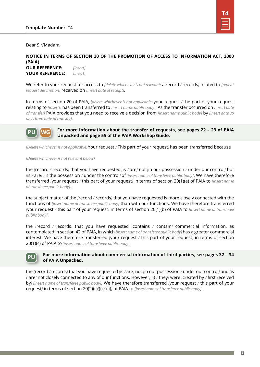

Dear Sir/Madam,

**NOTICE IN TERMS OF SECTION 20 OF THE PROMOTION OF ACCESS TO INFORMATION ACT, 2000 (PAIA) OUR REFERENCE:** *[insert]*

**YOUR REFERENCE:** *[insert]*

We refer to your request for access to *[delete whichever is not relevant:* a record */* records*]* related to *[repeat request description]* received on *[insert date of receipt]*.

In terms of section 20 of PAIA, *[delete whichever is not applicable:* your request */* the part of your request relating to *[insert]]* has been transferred to *[insert name public body]*. As the transfer occurred on *[insert date of transfer]* PAIA provides that you need to receive a decision from *[insert name public body]* by *[insert date 30 days from date of transfer]*.



**For more information about the transfer of requests, see pages 22 – 23 of PAIA Unpacked and page 55 of the PAIA Workshop Guide.**

*[Delete whichever is not applicable:* Your request */* This part of your request*]* has been transferred because

*[Delete whichever is not relevant below]*

the *[*record */* records*]* that you have requested *[*is */* are*]* not *[*in our possession */* under our control*]* but *[*is */* are*] [*in the possession */* under the control*]* of *[insert name of transferee public body]*. We have therefore transferred *[*your request */* this part of your request*]* in terms of section 20(1)(a) of PAIA to *[insert name of transferee public body]*.

the subject matter of the *[*record */* records*]* that you have requested is more closely connected with the functions of *[insert name of transferee public body]* than with our functions. We have therefore transferred *[*your request */* this part of your request*]* in terms of section 20(1)(b) of PAIA to *[insert name of transferee public body]*.

the *[*record */* records*]* that you have requested *[*contains */* contain*]* commercial information, as contemplated in section 42 of PAIA, in which *[insert name of transferee public body]* has a greater commercial interest. We have therefore transferred *[*your request */* this part of your request*]* in terms of section 20(1)(c) of PAIA to *[insert name of transferee public body]*.



#### **For more information about commercial information of third parties, see pages 32 – 34 of PAIA Unpacked.**

the *[*record */* records*]* that you have requested *[*is */* are*]* not *[*in our possession */* under our control*]* and *[*is / are*]* not closely connected to any of our functions. However, *[*it */* they*]* were *[*created by */* first received by*] [insert name of transferee public body]*. We have therefore transferred *[*your request */* this part of your request*]* in terms of section 20(2)(c)*[*(i) */* (ii)*]* of PAIA to *[insert name of transferee public body]*.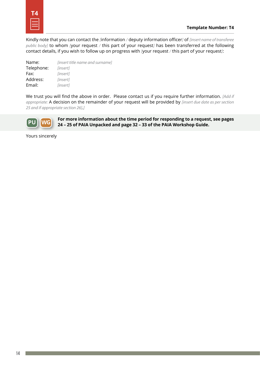Kindly note that you can contact the *[*information */* deputy information officer*]* of *[insert name of transferee public body]* to whom *[*your request */* this part of your request*]* has been transferred at the following contact details, if you wish to follow up on progress with *[*your request */* this part of your request*]*:

| Name:      | <i>linsert title name and surname]</i> |
|------------|----------------------------------------|
| Telephone: | [insert]                               |
| Fax:       | <i>linsert1</i>                        |
| Address:   | [insert]                               |
| Email:     | [insert]                               |

We trust you will find the above in order. Please contact us if you require further information. *[Add if appropriate:* A decision on the remainder of your request will be provided by *[insert due date as per section 25 and if appropriate section 26]*.*]*



**For more information about the time period for responding to a request, see pages 24 – 25 of PAIA Unpacked and page 32 – 33 of the PAIA Workshop Guide.**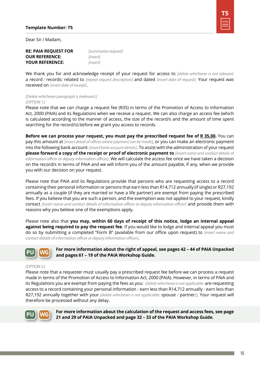

Dear Sir / Madam,

#### **RE: PAIA REQUEST FOR** *[summarise request]* **OUR REFERENCE:** *[insert]* **YOUR REFERENCE:** *[insert]*

We thank you for and acknowledge receipt of your request for access to *[delete whichever is not relevant:*  a record */* records*]* related to *[repeat request description]* and dated *[insert date of request].* Your request was received on *[insert date of receipt]*.

#### *[Delete whichever paragraph is irrelevant:] [OPTION 1:]*

Please note that we can charge a request fee (R35) in terms of the Promotion of Access to Information Act, 2000 (PAIA) and its Regulations when we receive a request. We can also charge an access fee (which is calculated according to the manner of access, the size of the record/s and the amount of time spent searching for the record/s) before we grant you access to records.

**Before we can process your request, you must pay the prescribed request fee of R 35,00.** You can pay this amount at *[insert detail of offices where payment can be made]*, or you can make an electronic payment into the following bank account: *[insert bank account details]*. To assist with the administration of your request **please forward a copy of the receipt or proof of electronic payment to** *[insert name and contact details of information officer or deputy information officer]*. We will calculate the access fee once we have taken a decision on the record/s in terms of PAIA and we will inform you of the amount payable, if any, when we provide you with our decision on your request.

Please note that PAIA and its Regulations provide that persons who are requesting access to a record containing their personal information or persons that earn less than R14,712 annually (if single) or R27,192 annually as a couple (if they are married or have a life partner) are exempt from paying the prescribed fees. If you believe that you are such a person, and the exemption was not applied to your request, kindly contact *[insert name and contact details of information officer or deputy information officer]* and provide them with reasons why you believe one of the exemptions apply.

Please note also that **you may, within 60 days of receipt of this notice, lodge an internal appeal against being required to pay the request fee**. If you would like to lodge and internal appeal you must do so by submitting a completed "Form B" (available from our office upon request) to *[insert name and contact details of information officer or deputy information officer]*.



**For more information about the right of appeal, see pages 42 – 44 of PAIA Unpacked and pages 61 – 19 of the PAIA Workshop Guide.**

#### *[OPTION 2:]*

Please note that a requester must usually pay a prescribed request fee before we can process a request made in terms of the Promotion of Access to Information Act, 2000 (PAIA). However, in terms of PAIA and its Regulations you are exempt from paying the fees as you: *[delete whichever is not applicable:* are requesting access to a record containing your personal information */* earn less than R14,712 annually */* earn less than R27,192 annually together with your *[delete whichever is not applicable:* spouse */* partner*]]*. Your request will therefore be processed without any delay.



**For more information about the calculation of the request and access fees, see page 21 and 29 of PAIA Unpacked and page 32 – 33 of the PAIA Workshop Guide.**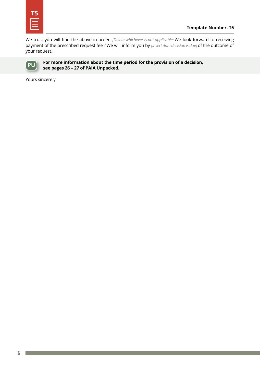

We trust you will find the above in order. *[Delete whichever is not applicable:* We look forward to receiving payment of the prescribed request fee */* We will inform you by *[insert date decision is due]* of the outcome of your request*]*.



**For more information about the time period for the provision of a decision, see pages 26 – 27 of PAIA Unpacked.**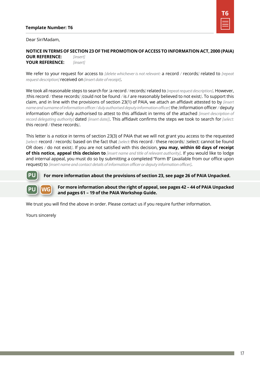#### **Template Number: T6**



Dear Sir/Madam,

#### **NOTICE IN TERMS OF SECTION 23 OF THE PROMOTION OF ACCESS TO INFORMATION ACT, 2000 (PAIA) OUR REFERENCE:** *[insert]* **YOUR REFERENCE:** *[insert]*

We refer to your request for access to *[delete whichever is not relevant:* a record */* records*]* related to *[repeat request description]* received on *[insert date of receipt]*.

We took all reasonable steps to search for *[*a record */* records*]* related to *[repeat request description]*. However, *[*this record */* these records*] [*could not be found */* is / are reasonably believed to not exist*]*. To support this claim, and in line with the provisions of section 23(1) of PAIA, we attach an affidavit attested to by *[insert name and surname of information officer / duly authorised deputy information officer]* the *[*information officer */* deputy information officer duly authorised to attest to this affidavit in terms of the attached *[insert description of record delegating authority]* dated *[insert date]]*. This affidavit confirms the steps we took to search for *[select:* this record */* these records*]*.

This letter is a notice in terms of section 23(3) of PAIA that we will not grant you access to the requested *[select:* record */* records*]* based on the fact that *[select:* this record */* these records*] [*select: cannot be found OR does */* do not exist*]*. If you are not satisfied with this decision, **you may, within 60 days of receipt of this notice, appeal this decision to** *[insert name and title of relevant authority]*. If you would like to lodge and internal appeal, you must do so by submitting a completed "Form B" (available from our office upon request) to *[insert name and contact details of information officer or deputy information officer]*.

**For more information about the provisions of section 23, see page 26 of PAIA Unpacked.**



**PU**

**For more information about the right of appeal, see pages 42 – 44 of PAIA Unpacked and pages 61 – 19 of the PAIA Workshop Guide.**

We trust you will find the above in order. Please contact us if you require further information.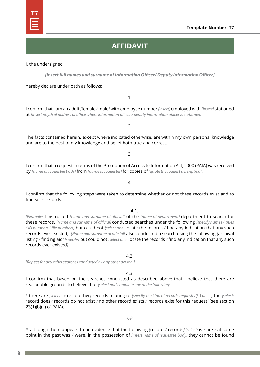**Template Number: T7**

## **AFFIDAVIT**

I, the undersigned,

*[Insert full names and surname of Information Officer/ Deputy Information Officer]*

hereby declare under oath as follows:

I confirm that I am an adult *[*female */* male*]* with employee number *[insert]* employed with *[insert]* stationed at *[insert physical address of office where information officer / deputy information officer is stationed]*.

2.

The facts contained herein, except where indicated otherwise, are within my own personal knowledge and are to the best of my knowledge and belief both true and correct.

3.

I confirm that a request in terms of the Promotion of Access to Information Act, 2000 (PAIA) was received by *[name of requestee body]* from *[name of requester]* for copies of *[quote the request description]*.

I confirm that the following steps were taken to determine whether or not these records exist and to find such records:

4.1.

*[Example:* I instructed *[name and surname of official]* of the *[name of department]* department to search for these records. *[Name and surname of official]* conducted searches under the following *[specify names / titles / ID numbers / file numbers]* but could not *[select one:* locate the records */* find any indication that any such records ever existed*]*. *[Name and surname of official]* also conducted a search using the following *[*archival listing */* finding aid*] [specify]* but could not *[select one:* locate the records */* find any indication that any such records ever existed*]*.

*[Repeat for any other searches conducted by any other person.]*

4.3.

 $4.2<sub>2</sub>$ 

I confirm that based on the searches conducted as described above that I believe that there are reasonable grounds to believe that *[select and complete one of the following:*

*i.* there are *[select:* no */* no other*]* records relating to *[specify the kind of records requested]* that is, the *[select:* record does */* records do not exist */* no other record exists */* records exist for this request*]* (see section 23(1)(b)(ii) of PAIA).

*OR*

*ii.* although there appears to be evidence that the following *[*record */* records*] [select:* is */* are */* at some point in the past was */* were*]* in the possession of *[insert name of requestee body]* they cannot be found

# **T7**

1.

4.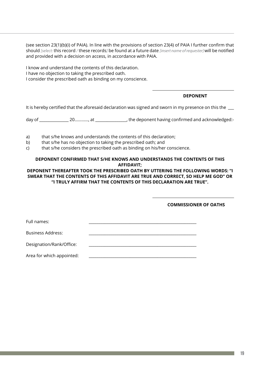(see section 23(1)(b)(i) of PAIA). In line with the provisions of section 23(4) of PAIA I further confirm that should *[select:* this record */* these records*]* be found at a future date *[insert name of requester]* will be notified and provided with a decision on access, in accordance with PAIA.

I know and understand the contents of this declaration. I have no objection to taking the prescribed oath. I consider the prescribed oath as binding on my conscience.

#### **DEPONENT**

It is hereby certified that the aforesaid declaration was signed and sworn in my presence on this the

day of \_\_\_\_\_\_\_\_\_\_\_\_\_\_\_\_ 20…………, at \_\_\_\_\_\_\_\_\_\_\_\_\_\_\_\_\_, the deponent having confirmed and acknowledged:-

- a) that s/he knows and understands the contents of this declaration;
- b) that s/he has no objection to taking the prescribed oath; and
- c) that s/he considers the prescribed oath as binding on his/her conscience.

#### **DEPONENT CONFIRMED THAT S/HE KNOWS AND UNDERSTANDS THE CONTENTS OF THIS AFFIDAVIT;**

#### **DEPONENT THEREAFTER TOOK THE PRESCRIBED OATH BY UTTERING THE FOLLOWING WORDS: "I SWEAR THAT THE CONTENTS OF THIS AFFIDAVIT ARE TRUE AND CORRECT, SO HELP ME GOD" OR "I TRULY AFFIRM THAT THE CONTENTS OF THIS DECLARATION ARE TRUE".**

**COMMISSIONER OF OATHS**

Full names:

Business Address:

Designation/Rank/Office:

Area for which appointed: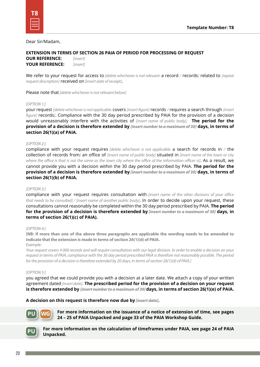Dear Sir/Madam,

#### **EXTENSION IN TERMS OF SECTION 26 PAIA OF PERIOD FOR PROCESSING OF REQUEST**

**OUR REFERENCE:** *[insert]* **YOUR REFERENCE:** *[insert]*

We refer to your request for access to *[delete whichever is not relevant:* a record */* records*]* related to *[repeat request description]* received on *[insert date of receipt]*.

Please note that *[delete whichever is not relevant below]*

#### *[OPTION 1:]*

your request *[delete whichever is not applicable:* covers *[insert figure]* records */* requires a search through *[insert figure]* records*]*. Compliance with the 30 day period prescribed by PAIA for the provision of a decision would unreasonably interfere with the activities of *[insert name of public body]*. **The period for the provision of a decision is therefore extended by** *[insert number to a maximum of 30]* **days, in terms of section 26(1)(a) of PAIA.** 

#### *[OPTION 2:]*

compliance with your request requires *[delete whichever is not applicable:* a search for records in */* the collection of records from*]* an office of *[insert name of public body]* situated in *[insert name of the town or city where the office is that is not the same as the town city where the office of the information officer is]*. As a result, we cannot provide you with a decision within the 30 day period prescribed by PAIA. **The period for the provision of a decision is therefore extended by** *[insert number to a maximum of 30]* **days, in terms of section 26(1)(b) of PAIA.**

#### *[OPTION 3:]*

compliance with your request requires consultation with *[insert name of the other divisions of your office that needs to be consulted] / [insert name of another public body]*. In order to decide upon your request, these consultations cannot reasonably be completed within the 30 day period prescribed by PAIA. **The period for the provision of a decision is therefore extended by** *[insert number to a maximum of 30]* **days, in terms of section 26(1)(c) of PAIA).**

#### *[OPTION 4:]*

**[NB: If more than one of the above three paragraphs are applicable the wording needs to be amended to indicate that the extension is made in terms of section 26(1)(d) of PAIA.**

*Example:*

*Your request covers 4 000 records and will require consultation with our legal division. In order to enable a decision on your request in terms of PAIA, compliance with the 30 day period prescribed PAIA is therefore not reasonably possible. The period for the provision of a decision is therefore extended by 20 days, in terms of section 26(1)(d) of PAIA.]*

#### *[OPTION 5:]*

you agreed that we could provide you with a decision at a later date. We attach a copy of your written agreement dated *[insert date]*. **The prescribed period for the provision of a decision on your request is therefore extended by** *[insert number to a maximum of 30]* **days, in terms of section 26(1)(e) of PAIA.**

**A decision on this request is therefore now due by** *[insert date]***.**



**For more information on the issuance of a notice of extension of time, see pages 24 – 25 of PAIA Unpacked and page 33 of the PAIA Workshop Guide.**



**For more information on the calculation of timeframes under PAIA, see page 24 of PAIA Unpacked.**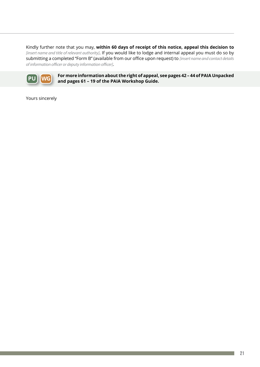Kindly further note that you may, **within 60 days of receipt of this notice, appeal this decision to**  *[insert name and title of relevant authority]*. If you would like to lodge and internal appeal you must do so by submitting a completed "Form B" (available from our office upon request) to *[insert name and contact details of information officer or deputy information officer]*.



**For more information about the right of appeal, see pages 42 – 44 of PAIA Unpacked and pages 61 – 19 of the PAIA Workshop Guide.**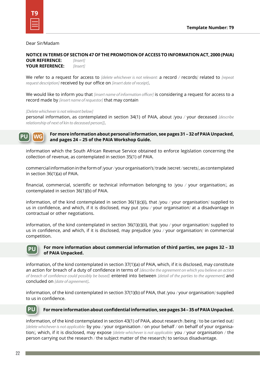#### Dear Sir/Madam

**NOTICE IN TERMS OF SECTION 47 OF THE PROMOTION OF ACCESS TO INFORMATION ACT, 2000 (PAIA) OUR REFERENCE:** *[Insert]*

**YOUR REFERENCE:** *[Insert]*

We refer to a request for access to *[delete whichever is not relevant:* a record */* records*]* related to *[repeat request description]* received by our office on *[insert date of receipt]*.

We would like to inform you that *[insert name of information officer]* is considering a request for access to a record made by *[insert name of requestor]* that may contain

#### *[Delete whichever is not relevant below]*

personal information, as contemplated in section 34(1) of PAIA, about *[*you */* your deceased *[describe relationship of next of kin to deceased person]]*.

**PU WG**

#### **For more information about personal information, see pages 31 – 32 of PAIA Unpacked, and pages 24 – 25 of the PAIA Workshop Guide.**

information which the South African Revenue Service obtained to enforce legislation concerning the collection of revenue, as contemplated in section 35(1) of PAIA.

commercial information in the form of *[*your */* your organisation's*]* trade *[*secret */* secrets*]*, as contemplated in section 36(1)(a) of PAIA.

financial, commercial, scientific or technical information belonging to *[*you */* your organisation*]*, as contemplated in section 36(1)(b) of PAIA.

information, of the kind contemplated in section 36(1)(c)(i), that *[*you */* your organisation*]* supplied to us in confidence, and which, if it is disclosed, may put *[*you */* your organisation*]* at a disadvantage in contractual or other negotiations.

information, of the kind contemplated in section 36(1)(c)(ii), that *[*you */* your organisation*]* supplied to us in confidence, and which, if it is disclosed, may prejudice *[*you */* your organisation*]* in commercial competition.



#### **For more information about commercial information of third parties, see pages 32 – 33 of PAIA Unpacked.**

information, of the kind contemplated in section 37(1)(a) of PAIA, which, if it is disclosed, may constitute an action for breach of a duty of confidence in terms of *[describe the agreement on which you believe an action of breach of confidence could possibly be based]* entered into between *[detail of the parties to the agreement]* and concluded on *[date of agreement]*.

information, of the kind contemplated in section 37(1)(b) of PAIA, that *[*you */* your organisation*]* supplied to us in confidence.

## **PU**

#### **For more information about confidential information, see pages 34 – 35 of PAIA Unpacked.**

information, of the kind contemplated in section 43(1) of PAIA, about research *[*being */* to be carried out*] [delete whichever is not applicable:* by you */* your organisation */* on your behalf */* on behalf of your organisation*]*, which, if it is disclosed, may expose *[delete whichever is not applicable:* you */* your organisation */* the person carrying out the research */* the subject matter of the research*]* to serious disadvantage.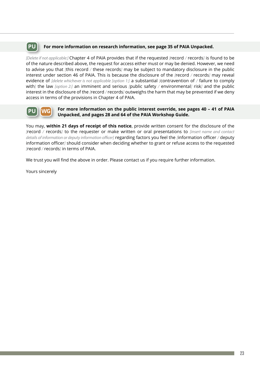#### **For more information on research information, see page 35 of PAIA Unpacked. PU**

*[Delete if not applicable:]* Chapter 4 of PAIA provides that if the requested *[*record */* records*]* is found to be of the nature described above, the request for access either must or may be denied. However, we need to advise you that *[*this record */* these records*]* may be subject to mandatory disclosure in the public interest under section 46 of PAIA. This is because the disclosure of the *[*record */* records*]* may reveal evidence of *[delete whichever is not applicable [option 1:]* a substantial *[*contravention of */* failure to comply with*]* the law *[option 2:]* an imminent and serious *[*public safety */* environmental*]* risk*]* and the public interest in the disclosure of the *[*record */* records*]* outweighs the harm that may be prevented if we deny access in terms of the provisions in Chapter 4 of PAIA.

#### **For more information on the public interest override, see pages 40 – 41 of PAIA Unpacked, and pages 28 and 64 of the PAIA Workshop Guide. PU WG**

You may, **within 21 days of receipt of this notice**, provide written consent for the disclosure of the *[*record */* records*]* to the requester or make written or oral presentations to *[insert name and contact details of information or deputy information officer]* regarding factors you feel the *[*information officer */* deputy information officer*]* should consider when deciding whether to grant or refuse access to the requested *[*record */* records*]* in terms of PAIA.

We trust you will find the above in order. Please contact us if you require further information.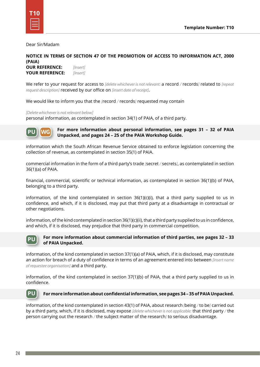Dear Sir/Madam

**NOTICE IN TERMS OF SECTION 47 OF THE PROMOTION OF ACCESS TO INFORMATION ACT, 2000 (PAIA) OUR REFERENCE:** *[Insert]*

**YOUR REFERENCE:** *[Insert]*

We refer to your request for access to *[delete whichever is not relevant:* a record */* records*]* related to *[repeat request description]* received by our office on *[insert date of receipt]*.

We would like to inform you that the *[*record */* records*]* requested may contain

#### *[Delete whichever is not relevant below]*

personal information, as contemplated in section 34(1) of PAIA, of a third party.



**For more information about personal information, see pages 31 – 32 of PAIA Unpacked, and pages 24 – 25 of the PAIA Workshop Guide.**

information which the South African Revenue Service obtained to enforce legislation concerning the collection of revenue, as contemplated in section 35(1) of PAIA.

commercial information in the form of a third party's trade *[*secret */* secrets*]*, as contemplated in section 36(1)(a) of PAIA.

financial, commercial, scientific or technical information, as contemplated in section 36(1)(b) of PAIA, belonging to a third party.

information, of the kind contemplated in section  $36(1)(c)(i)$ , that a third party supplied to us in confidence, and which, if it is disclosed, may put that third party at a disadvantage in contractual or other negotiations.

information, of the kind contemplated in section 36(1)(c)(ii), that a third party supplied to us in confidence, and which, if it is disclosed, may prejudice that third party in commercial competition.



#### **For more information about commercial information of third parties, see pages 32 – 33 of PAIA Unpacked.**

information, of the kind contemplated in section 37(1)(a) of PAIA, which, if it is disclosed, may constitute an action for breach of a duty of confidence in terms of an agreement entered into between *[insert name of requestee organisation]* and a third party.

information, of the kind contemplated in section 37(1)(b) of PAIA, that a third party supplied to us in confidence.

#### **For more information about confidential information, see pages 34 – 35 of PAIA Unpacked. PU**

information, of the kind contemplated in section 43(1) of PAIA, about research *[*being */* to be*]* carried out by a third party, which, if it is disclosed, may expose *[delete whichever is not applicable:* that third party */* the person carrying out the research */* the subject matter of the research*]* to serious disadvantage.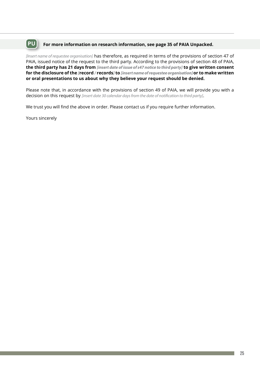## **PU For more information on research information, see page 35 of PAIA Unpacked.**

*[Insert name of requestee organisation]* has therefore, as required in terms of the provisions of section 47 of PAIA, issued notice of the request to the third party. According to the provisions of section 48 of PAIA, **the third party has 21 days from** *[insert date of issue of s47 notice to third party]* **to give written consent for the disclosure of the** *[***record** */* **records***]* **to** *[insert name of requestee organisation]* **or to make written or oral presentations to us about why they believe your request should be denied.** 

Please note that, in accordance with the provisions of section 49 of PAIA, we will provide you with a decision on this request by *[insert date 30 calendar days from the date of notification to third party]*.

We trust you will find the above in order. Please contact us if you require further information.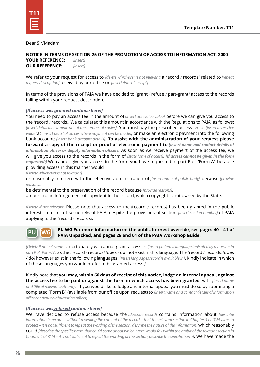Dear Sir/Madam

**NOTICE IN TERMS OF SECTION 25 OF THE PROMOTION OF ACCESS TO INFORMATION ACT, 2000 YOUR REFERENCE:** *[Insert]*

**OUR REFERENCE:** *[Insert]*

We refer to your request for access to *[delete whichever is not relevant:* a record */* records*]* related to *[repeat request description]* received by our office on *[insert date of receipt]*.

In terms of the provisions of PAIA we have decided to *[*grant */* refuse */* part-grant*]* access to the records falling within your request description.

#### *[If access was granted continue here:]*

You need to pay an access fee in the amount of *[insert access fee value]* before we can give you access to the *[*record */* records*]*. We calculated this amount in accordance with the Regulations to PAIA, as follows: *[insert detail for example about the number of copies]*. You must pay the prescribed access fee of *[insert access fee value]* at *[insert detail of offices where payment can be made]*, or make an electronic payment into the following bank account: *[insert bank account details]*. **To assist with the administration of your request please forward a copy of the receipt or proof of electronic payment to** *[insert name and contact details of information officer or deputy information officer]*. As soon as we receive payment of the access fee, we will give you access to the records in the form of *[state form of access]*. *[If access cannot be given in the form requested:]* We cannot give you access in the form you have requested in part F of "Form A" because providing access in this manner would

*[Delete whichever is not relevant]*

unreasonably interfere with the effective administration of *[insert name of public body]* because *[provide reasons]*.

be detrimental to the preservation of the record because *[provide reasons]*.

amount to an infringement of copyright in the record, which copyright is not owned by the State.

*[Delete if not relevant:* Please note that access to the *[*record */* records*]* has been granted in the public interest, in terms of section 46 of PAIA, despite the provisions of section *[insert section number]* of PAIA applying to the *[*record */* records*]*.*]*



#### **PU WG For more information on the public interest override, see pages 40 – 41 of PAIA Unpacked, and pages 28 and 64 of the PAIA Workshop Guide.**

*[Delete if not relevant:* Unfortunately we cannot grant access in *[insert preferred language indicated by requester in part F of "Form A"]* as the *[*record */* records*] [*does */* do*]* not exist in this language. The *[*record */* records*] [*does / do*]* however exist in the following languages: *[Insert languages record is available in]*. Kindly indicate in which of these languages you would prefer to be granted access.*]*

Kindly note that **you may, within 60 days of receipt of this notice, lodge an internal appeal, against the access fee to be paid or against the form in which access has been granted**, with *[insert name and title of relevant authority]*. If you would like to lodge and internal appeal you must do so by submitting a completed "Form B" (available from our office upon request) to *[insert name and contact details of information officer or deputy information officer]*.

#### *[If access was refused continue here:]*

We have decided to refuse access because the *[describe record]* contains information about *[describe information in record – without revealing the content of the record – that the relevant section in Chapter 4 of PAIA aims to protect – it is not sufficient to repeat the wording of the section, describe the nature of the information]* which reasonably could *[describe the specific harm that could come about which harm would fall within the ambit of the relevant section in Chapter 4 of PAIA – it is not sufficient to repeat the wording of the section, describe the specific harm]*. We have made the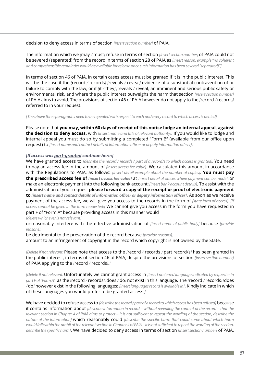decision to deny access in terms of section *[insert section number]* of PAIA.

The information which we *[*may */* must*]* refuse in terms of section *[insert section number]* of PAIA could not be severed (separated) from the record in terms of section 28 of PAIA as *[insert reason, example "no coherent and comprehensible remainder would be available for release once such information has been severed (separated)"]*.

In terms of section 46 of PAIA, in certain cases access must be granted if it is in the public interest. This will be the case if the *[*record */* records*] [*reveals */* reveal*]* evidence of a substantial contravention of or failure to comply with the law, or if *[*it */* they*] [*reveals */* reveal*]* an imminent and serious public safety or environmental risk, and where the public interest outweighs the harm that section *[insert section number]*  of PAIA aims to avoid. The provisions of section 46 of PAIA however do not apply to the *[*record */* records*]*  referred to in your request.

*[The above three paragraphs need to be repeated with respect to each and every record to which access is denied]*

Please note that **you may, within 60 days of receipt of this notice lodge an internal appeal, against the decision to deny access,** with *[insert name and title of relevant authority]*. If you would like to lodge and internal appeal you must do so by submitting a completed "Form B" (available from our office upon request) to *[insert name and contact details of information officer or deputy information officer]*.

#### *[If access was part-granted continue here:]*

We have granted access to *[describe the record / records / part of a record/s to which access is granted]*. You need to pay an access fee in the amount of *[insert access fee value]*. We calculated this amount in accordance with the Regulations to PAIA, as follows: *[insert detail example about the number of copies]*. **You must pay the prescribed access fee of** *[insert access fee value]* at *[insert detail of offices where payment can be made]*, or make an electronic payment into the following bank account: *[insert bank account details]*. To assist with the administration of your request **please forward a copy of the receipt or proof of electronic payment to** *[insert name and contact details of information officer or deputy information officer]*. As soon as we receive payment of the access fee, we will give you access to the records in the form of *[state form of access]*. *[If access cannot be given in the form requested:]* We cannot give you access in the form you have requested in part F of "Form A" because providing access in this manner would

*[delete whichever is not relevant]*

unreasonably interfere with the effective administration of *[insert name of public body]* because *[provide reasons]*.

be detrimental to the preservation of the record because *[provide reasons]*.

amount to an infringement of copyright in the record which copyright is not owned by the State.

*[Delete if not relevant:* Please note that access to the *[*record */* records */* part record/s*]* has been granted in the public interest, in terms of section 46 of PAIA, despite the provisions of section *[insert section number]*  of PAIA applying to the *[*record */* records*]*.*]*

*[Delete if not relevant:* Unfortunately we cannot grant access in *[insert preferred language indicated by requester in part F of "Form A"]* as the *[*record */* records*] [*does */* do*]* not exist in this language. The *[*record */* records*] [*does */* do*]* however exist in the following languages: *[insert languages record is available in]*. Kindly indicate in which of these languages you would prefer to be granted access.*]*

We have decided to refuse access to *[describe the record / part of a record to which access has been refused]* because it contains information about *[describe information in record – without revealing the content of the record – that the relevant section in Chapter 4 of PAIA aims to protect – it is not sufficient to repeat the wording of the section, describe the nature of the information]* which reasonably could *[describe the specific harm that could come about which harm would fall within the ambit of the relevant section in Chapter 4 of PAIA – it is not sufficient to repeat the wording of the section, describe the specific harm]*. We have decided to deny access in terms of section *[insert section number]* of PAIA.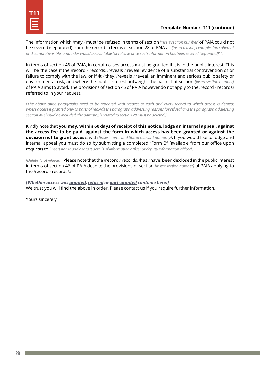The information which *[*may */* must*]* be refused in terms of section *[insert section number]* of PAIA could not be severed (separated) from the record in terms of section 28 of PAIA as *[insert reason, example: "no coherent and comprehensible remainder would be available for release once such information has been severed (separated)"]*.

In terms of section 46 of PAIA, in certain cases access must be granted if it is in the public interest. This will be the case if the *[*record */* records*] [*reveals */* reveal*]* evidence of a substantial contravention of or failure to comply with the law, or if *[*it */* they*] [*reveals */* reveal*]* an imminent and serious public safety or environmental risk, and where the public interest outweighs the harm that section *[insert section number]* of PAIA aims to avoid. The provisions of section 46 of PAIA however do not apply to the *[*record */* records*]*  referred to in your request.

*[The above three paragraphs need to be repeated with respect to each and every record to which access is denied;*  where access is granted only to parts of records the paragraph addressing reasons for refusal and the paragraph addressing *section 46 should be included, the paragraph related to section 28 must be deleted.]*

Kindly note that **you may, within 60 days of receipt of this notice, lodge an internal appeal, against the access fee to be paid, against the form in which access has been granted or against the decision not to grant access,** with *[insert name and title of relevant authority]*. If you would like to lodge and internal appeal you must do so by submitting a completed "Form B" (available from our office upon request) to *[insert name and contact details of information officer or deputy information officer]*.

*[Delete if not relevant:* Please note that the *[*record */* records*] [*has */* have*]* been disclosed in the public interest in terms of section 46 of PAIA despite the provisions of section *[insert section number]* of PAIA applying to the *[*record */* records*]*.*]*

*[Whether access was granted, refused or part-granted continue here:]* We trust you will find the above in order. Please contact us if you require further information.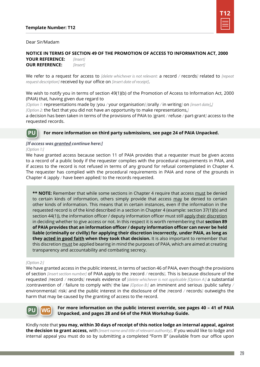

Dear Sir/Madam

#### **NOTICE IN TERMS OF SECTION 49 OF THE PROMOTION OF ACCESS TO INFORMATION ACT, 2000 YOUR REFERENCE:** *[Insert]*

**OUR REFERENCE:** *[Insert]*

We refer to a request for access to *[delete whichever is not relevant:* a record */* records*]* related to *[repeat request description]* received by our office on *[insert date of receipt]*.

We wish to notify you in terms of section 49(1)(b) of the Promotion of Access to Information Act, 2000 (PAIA) that, having given due regard to

*[Option 1:* representations made by *[*you */* your organisation*] [*orally */* in writing*]* on *[insert date]*,*]*

*[Option 2:* the fact that you did not have an opportunity to make representations,*]*

a decision has been taken in terms of the provisions of PAIA to *[*grant */* refuse */* part-grant*]* access to the requested records.

#### **PU For more information on third party submissions, see page 24 of PAIA Unpacked.**

#### *[If access was granted continue here:]*

*[Option 1:]*

We have granted access because section 11 of PAIA provides that a requester must be given access to a record of a public body if the requester complies with the procedural requirements in PAIA, and if access to the record is not refused in terms of any ground for refusal contemplated in Chapter 4. The requester has complied with the procedural requirements in PAIA and none of the grounds in Chapter 4 *[*apply */* have been applied*]* to the records requested.

**\*\* NOTE:** Remember that while some sections in Chapter 4 require that access must be denied to certain kinds of information, others simply provide that access may be denied to certain other kinds of information. This means that in certain instances, even if the information in the requested record is of the kind described in a section in Chapter 4 (example: section 37(1)(b) and section 44(1)), the information officer / deputy information officer must still apply their discretion in deciding whether to give access or not. In this respect it is worth remembering that **section 89 of PAIA provides that an information officer / deputy information officer can never be held liable (criminally or civilly) for applying their discretion incorrectly, under PAIA, as long as they acted in good faith when they took that decision.** It is also important to remember that this discretion must be applied bearing in mind the purposes of PAIA, which are aimed at creating transparency and accountability and combating secrecy.

#### *[Option 2:]*

We have granted access in the public interest, in terms of section 46 of PAIA, even though the provisions of section *[insert section number]* of PAIA apply to the *[*record */* records*]*. This is because disclosure of the requested *[*record */* records*]* reveals evidence of *[delete whichever is not applicable [Option A:]* a substantial *[*contravention of */* failure to comply with*]* the law *[Option B:]* an imminent and serious *[*public safety */*  environmental*]* risk*]* and the public interest in the disclosure of the *[*record */* records*]* outweighs the harm that may be caused by the granting of access to the record.



#### **For more information on the public interest override, see pages 40 – 41 of PAIA Unpacked, and pages 28 and 64 of the PAIA Workshop Guide.**

Kindly note that **you may, within 30 days of receipt of this notice lodge an internal appeal, against the decision to grant access,** with *[insert name and title of relevant authority]*. If you would like to lodge and internal appeal you must do so by submitting a completed "Form B" (available from our office upon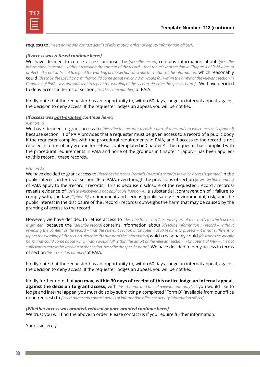```
T12
```
request) to *[insert name and contact details of information officer or deputy information officer]*.

#### *[If access was refused continue here:]*

We have decided to refuse access because the *[describe record]* contains information about *[describe information in record – without revealing the content of the record – that the relevant section in Chapter 4 of PAIA aims to protect – it is not sufficient to repeat the wording of the section, describe the nature of the information]* which reasonably could *[describe the specific harm that could come about which harm would fall within the ambit of the relevant section in Chapter 4 of PAIA – it is not sufficient to repeat the wording of the section, describe the specific harm]*. We have decided to deny access in terms of section *[insert section number]* of PAIA.

Kindly note that the requester has an opportunity to, within 60 days, lodge an internal appeal, against the decision to deny access. If the requester lodges an appeal, you will be notified.

#### *[If access was part-granted continue here:]*

#### *[Option 1:]*

We have decided to grant access to *[describe the record / records / part of a record/s to which access is granted]* because section 11 of PAIA provides that a requester must be given access to a record of a public body if the requester complies with the procedural requirements in PAIA, and if access to the record is not refused in terms of any ground for refusal contemplated in Chapter 4. The requester has complied with the procedural requirements in PAIA and none of the grounds in Chapter 4 *[*apply */* has been applied*]*  to *[*this record */* these records*]*.

#### *[Option 2:]*

We have decided to grant access to *[describe the record / records / part of a record/s to which access is granted]* in the public interest, in terms of section 46 of PAIA, even though the provisions of section *[insert section number]* of PAIA apply to the *[*record */* records*]*. This is because disclosure of the requested *[*record */* records*]*  reveals evidence of *[delete whichever is not applicable [Option A:]* a substantial *[*contravention of */* failure to comply with*]* the law *[Option B:]* an imminent and serious *[*public safety */* environmental*]* risk*]* and the public interest in the disclosure of the *[*record */* records*]* outweighs the harm that may be caused by the granting of access to the record.

However, we have decided to refuse access to *[describe the record / records / part of a record/s to which access is granted]* because the *[describe record]* contains information about *[describe information in record – without revealing the content of the record – that the relevant section in Chapter 4 of PAIA aims to protect – it is not sufficient to repeat the wording of the section, describe the nature of the information]* which reasonably could *[describe the specific harm that could come about which harm would fall within the ambit of the relevant section in Chapter 4 of PAIA – it is not sufficient to repeat the wording of the section, describe the specific harm]*. We have decided to deny access in terms of section *[insert section number]* of PAIA.

Kindly note that the requester has an opportunity to, within 60 days, lodge an internal appeal, against the decision to deny access. If the requester lodges an appeal, you will be notified.

Kindly further note that **you may, within 30 days of receipt of this notice lodge an internal appeal, against the decision to grant access,** with *[insert name and title of relevant authority]*. If you would like to lodge and internal appeal you must do so by submitting a completed "Form B" (available from our office upon request) to *[insert name and contact details of information officer or deputy information officer]*.

#### *[Whether access was granted, refused or part-granted continue here:]*

We trust you will find the above in order. Please contact us if you require further information.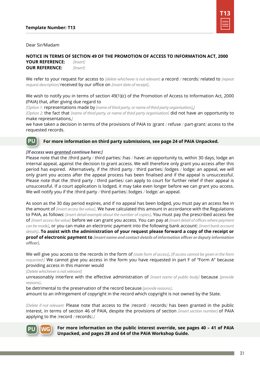

#### Dear Sir/Madam

**NOTICE IN TERMS OF SECTION 49 OF THE PROMOTION OF ACCESS TO INFORMATION ACT, 2000 YOUR REFERENCE:** *[Insert]* **OUR REFERENCE:** *[Insert]*

We refer to your request for access to *[delete whichever is not relevant:* a record */* records*]* related to *[repeat request description]* received by our office on *[insert date of receipt]*.

We wish to notify you in terms of section 49(1)(c) of the Promotion of Access to Information Act, 2000 (PAIA) that, after giving due regard to

*[Option 1:* representations made by *[name of third party, or name of third party organisation]*,*]*

*[Option 2:* the fact that *[name of third party, or name of third party organisation]* did not have an opportunity to make representations,*]*

we have taken a decision in terms of the provisions of PAIA to *[*grant */* refuse */* part-grant*]* access to the requested records.

#### **For more information on third party submissions, see page 24 of PAIA Unpacked. PU**

#### *[If access was granted continue here:]*

Please note that the *[*third party */* third parties*] [*has */* have*]* an opportunity to, within 30 days, lodge an internal appeal, against the decision to grant access. We will therefore only grant you access after this period has expired. Alternatively, if the *[*third party */* third parties*] [*lodges */* lodge*]* an appeal, we will only grant you access after the appeal process has been finalised and if the appeal is unsuccessful. Please note that the *[*third party */* third parties*]* can apply to court for further relief if their appeal is unsuccessful. If a court application is lodged, it may take even longer before we can grant you access. We will notify you if the *[*third party */* third parties*] [*lodges */* lodge*]* an appeal.

As soon as the 30 day period expires, and if no appeal has been lodged, you must pay an access fee in the amount of *[insert access fee value]*. We have calculated this amount in accordance with the Regulations to PAIA, as follows: *[insert detail example about the number of copies]*. You must pay the prescribed access fee of *[insert access fee value]* before we can grant you access. You can pay at *[insert detail of offices where payment can be made]*, or you can make an electronic payment into the following bank account: *[insert bank account details]*. **To assist with the administration of your request please forward a copy of the receipt or proof of electronic payment to** *[insert name and contact details of information officer or deputy information officer]*.

We will give you access to the records in the form of *[state form of access]*. *[If access cannot be given in the form requested:]* We cannot give you access in the form you have requested in part F of "Form A" because providing access in this manner would

*[Delete whichever is not relevant]*

unreasonably interfere with the effective administration of *[insert name of public body]* because *[provide reasons]*.

be detrimental to the preservation of the record because *[provide reasons]*.

amount to an infringement of copyright in the record which copyright is not owned by the State.

*[Delete if not relevant:* Please note that access to the *[*record */* records*]* has been granted in the public interest, in terms of section 46 of PAIA, despite the provisions of section *[insert section number]* of PAIA applying to the *[*record */* records*]*.*]*



**For more information on the public interest override, see pages 40 – 41 of PAIA Unpacked, and pages 28 and 64 of the PAIA Workshop Guide.**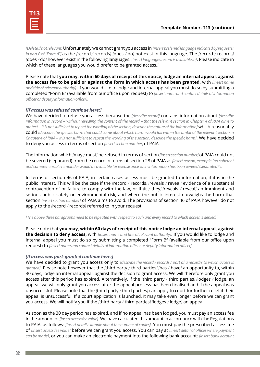*[Delete if not relevant:* Unfortunately we cannot grant you access in *[insert preferred language indicated by requester in part F of "Form A"]* as the *[record / records] [does / do]* not exist in this language. The *[record / records] [*does */* do*]* however exist in the following languages: *[insert languages record is available in]*. Please indicate in which of these languages you would prefer to be granted access.*]*

Please note that **you may, within 60 days of receipt of this notice, lodge an internal appeal, against the access fee to be paid or against the form in which access has been granted,** with *[insert name and title of relevant authority]*. If you would like to lodge and internal appeal you must do so by submitting a completed "Form B" (available from our office upon request) to *[insert name and contact details of information officer or deputy information officer]*.

#### *[If access was refused continue here:]*

We have decided to refuse you access because the *[describe record]* contains information about *[describe information in record – without revealing the content of the record – that the relevant section in Chapter 4 of PAIA aims to protect – it is not sufficient to repeat the wording of the section, describe the nature of the information]* which reasonably could *[describe the specific harm that could come about which harm would fall within the ambit of the relevant section in Chapter 4 of PAIA – it is not sufficient to repeat the wording of the section, describe the specific harm]*. We have decided to deny you access in terms of section *[insert section number]* of PAIA.

The information which *[*may */* must*]* be refused in terms of section *[insert section number]* of PAIA could not be severed (separated) from the record in terms of section 28 of PAIA as *[insert reason, example "no coherent and comprehensible remainder would be available for release once such information has been severed (separated)"]*.

In terms of section 46 of PAIA, in certain cases access must be granted to information, if it is in the public interest. This will be the case if the *[*record */* records*] [*reveals */* reveal*]* evidence of a substantial contravention of or failure to comply with the law, or if *[*it */* they*] [*reveals */* reveal*]* an imminent and serious public safety or environmental risk, and where the public interest outweighs the harm that section *[insert section number]* of PAIA aims to avoid. The provisions of section 46 of PAIA however do not apply to the *[*record */* records*]* referred to in your request.

*[The above three paragraphs need to be repeated with respect to each and every record to which access is denied.]*

Please note that **you may, within 60 days of receipt of this notice lodge an internal appeal, against the decision to deny access,** with *[insert name and title of relevant authority]*. If you would like to lodge and internal appeal you must do so by submitting a completed "Form B" (available from our office upon request) to *[insert name and contact details of information officer or deputy information officer]*.

#### *[If access was part-granted continue here:]*

We have decided to grant you access only to *[describe the record / records / part of a record/s to which access is granted]*. Please note however that the *[*third party */* third parties*] [*has */* have*]* an opportunity to, within 30 days, lodge an internal appeal, against the decision to grant access. We will therefore only grant you access after this period has expired. Alternatively, if the *[*third party */* third parties*] [*lodges */* lodge*]* an appeal, we will only grant you access after the appeal process has been finalised and if the appeal was unsuccessful. Please note that the *[*third party */* third parties*]* can apply to court for further relief if their appeal is unsuccessful. If a court application is launched, it may take even longer before we can grant you access. We will notify you if the *[*third party */* third parties*] [*lodges */* lodge*]* an appeal.

As soon as the 30 day period has expired, and if no appeal has been lodged, you must pay an access fee in the amount of *[insert access fee value]*. We have calculated this amount in accordance with the Regulations to PAIA, as follows: *[insert detail example about the number of copies]*. You must pay the prescribed access fee of *[insert access fee value]* before we can grant you access. You can pay at *[insert detail of offices where payment can be made]*, or you can make an electronic payment into the following bank account: *[insert bank account*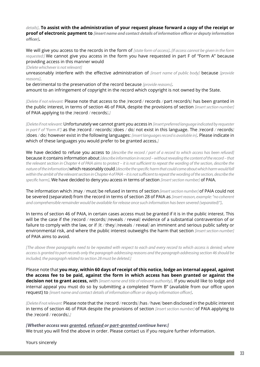*details]*. **To assist with the administration of your request please forward a copy of the receipt or proof of electronic payment to** *[insert name and contact details of information officer or deputy information officer]***.**

We will give you access to the records in the form of *[state form of access]*. *[If access cannot be given in the form requested:]* We cannot give you access in the form you have requested in part F of "Form A" because providing access in this manner would

*[Delete whichever is not relevant]*

unreasonably interfere with the effective administration of *[insert name of public body]* because *[provide reasons]*.

be detrimental to the preservation of the record because *[provide reasons]*.

amount to an infringement of copyright in the record which copyright is not owned by the State.

*[Delete if not relevant:* Please note that access to the *[*record */* records */* part record/s*]* has been granted in the public interest, in terms of section 46 of PAIA, despite the provisions of section *[insert section number]*  of PAIA applying to the *[*record */* records*]*.*]*

*[Delete if not relevant:* Unfortunately we cannot grant you access in *[insert preferred language indicated by requester in part F of "Form A"]* as the *[*record */* records*] [*does */* do*]* not exist in this language. The *[*record */* records*] [*does */* do*]* however exist in the following languages: *[insert languages record is available in]*. Please indicate in which of these languages you would prefer to be granted access.*]*

We have decided to refuse you access to *[describe the record / part of a record to which access has been refused]* because it contains information about *[describe information in record – without revealing the content of the record – that the relevant section in Chapter 4 of PAIA aims to protect – it is not sufficient to repeat the wording of the section, describe the nature of the information]* which reasonably could *[describe the specific harm that could come about which harm would fall within the ambit of the relevant section in Chapter 4 of PAIA – it is not sufficient to repeat the wording of the section, describe the specific harm]*. We have decided to deny you access in terms of section *[insert section number]* of PAIA.

The information which *[*may */* must*]* be refused in terms of section *[insert section number]* of PAIA could not be severed (separated) from the record in terms of section 28 of PAIA as *[insert reason, example: "no coherent and comprehensible remainder would be available for release once such information has been severed (separated)"]*.

In terms of section 46 of PAIA, in certain cases access must be granted if it is in the public interest. This will be the case if the *[*record */* records*] [*reveals */* reveal*]* evidence of a substantial contravention of or failure to comply with the law, or if *[*it */* they*] [*reveals */* reveal*]* an imminent and serious public safety or environmental risk, and where the public interest outweighs the harm that section *[insert section number]* of PAIA aims to avoid.

*[The above three paragraphs need to be repeated with respect to each and every record to which access is denied; where access is granted to part records only the paragraph addressing reasons and the paragraph addressing section 46 should be included, the paragraph related to section 28 must be deleted.]*

Please note that **you may, within 60 days of receipt of this notice, lodge an internal appeal, against the access fee to be paid, against the form in which access has been granted or against the decision not to grant access,** with *[insert name and title of relevant authority]*. If you would like to lodge and internal appeal you must do so by submitting a completed "Form B" (available from our office upon request) to *[insert name and contact details of information officer or deputy information officer]*.

*[Delete if not relevant:* Please note that the *[*record */* records*] [*has */* have*]* been disclosed in the public interest in terms of section 46 of PAIA despite the provisions of section *[insert section number]* of PAIA applying to the *[*record */* records*]*.*]*

*[Whether access was granted, refused or part-granted continue here:]* We trust you will find the above in order. Please contact us if you require further information.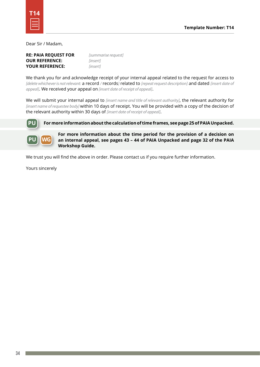Dear Sir / Madam,

| <b>RE: PAIA REQUEST FOR</b> | <i><u><b>Summarise</b></u></i> |
|-----------------------------|--------------------------------|
| <b>OUR REFERENCE:</b>       | <i>linsert]</i>                |
| <b>YOUR REFERENCE:</b>      | <i>linsert]</i>                |

**RE: PAIA REQUEST FOR** *[summarise request]*

We thank you for and acknowledge receipt of your internal appeal related to the request for access to *[delete whichever is not relevant:* a record */* records*]* related to *[repeat request description]* and dated *[insert date of appeal]*. We received your appeal on *[insert date of receipt of appeal]*.

We will submit your internal appeal to *[insert name and title of relevant authority]*, the relevant authority for *[insert name of requestee body]* within 10 days of receipt. You will be provided with a copy of the decision of the relevant authority within 30 days of *[insert date of receipt of appeal]*.



**For more information about the calculation of time frames, see page 25 of PAIA Unpacked.**



**For more information about the time period for the provision of a decision on an internal appeal, see pages 43 – 44 of PAIA Unpacked and page 32 of the PAIA Workshop Guide.**

We trust you will find the above in order. Please contact us if you require further information.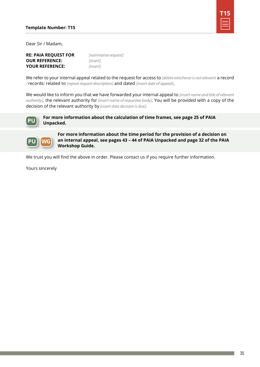

Dear Sir / Madam,

**RE: PAIA REQUEST FOR** *[summarise request]* **OUR REFERENCE:** *[insert]* **YOUR REFERENCE:** *[insert]*

We refer to your internal appeal related to the request for access to *[delete whichever is not relevant:* a record */* records*]* related to *[repeat request description]* and dated *[insert date of appeal]*.

We would like to inform you that we have forwarded your internal appeal to *[insert name and title of relevant authority]*, the relevant authority for *[insert name of requestee body]*. You will be provided with a copy of the decision of the relevant authority by *[insert date decision is due]*.



**For more information about the calculation of time frames, see page 25 of PAIA Unpacked.**



**For more information about the time period for the provision of a decision on an internal appeal, see pages 43 – 44 of PAIA Unpacked and page 32 of the PAIA Workshop Guide.**

We trust you will find the above in order. Please contact us if you require further information.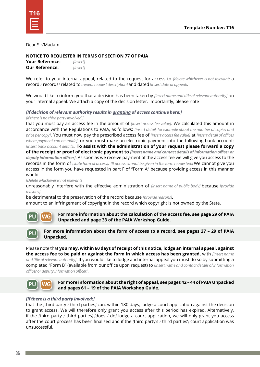#### Dear Sir/Madam

#### **NOTICE TO REQUESTER IN TERMS OF SECTION 77 OF PAIA**

**Your Reference:** *[insert]* **Our Reference:** *[insert]*

We refer to your internal appeal, related to the request for access to *[delete whichever is not relevant:* a record */* records*]* related to *[repeat request description]* and dated *[insert date of appeal]*.

We would like to inform you that a decision has been taken by *[insert name and title of relevant authority]* on your internal appeal. We attach a copy of the decision letter. Importantly, please note

### *[If decision of relevant authority results in granting of access continue here:]*

#### *[if there is no third party involved:]*

that you must pay an access fee in the amount of *[insert access fee value]*. We calculated this amount in accordance with the Regulations to PAIA, as follows: *[insert detail, for example about the number of copies and price per copy]*. You must now pay the prescribed access fee of *[insert access fee value]* at *[insert detail of offices where payment can be made]*, or you must make an electronic payment into the following bank account: *[insert bank account details]*. **To assist with the administration of your request please forward a copy of the receipt or proof of electronic payment to** *[insert name and contact details of information officer or deputy information officer]*. As soon as we receive payment of the access fee we will give you access to the records in the form of *[state form of access]*. *[If access cannot be given in the form requested:]* We cannot give you access in the form you have requested in part F of "Form A" because providing access in this manner would

*[Delete whichever is not relevant]*

unreasonably interfere with the effective administration of *[insert name of public body]* because *[provide reasons]*.

be detrimental to the preservation of the record because *[provide reasons]*.

amount to an infringement of copyright in the record which copyright is not owned by the State.



**For more information about the calculation of the access fee, see page 29 of PAIA Unpacked and page 33 of the PAIA Workshop Guide.**



#### **For more information about the form of access to a record, see pages 27 – 29 of PAIA Unpacked.**

Please note that **you may, within 60 days of receipt of this notice, lodge an internal appeal, against the access fee to be paid or against the form in which access has been granted,** with *[insert name and title of relevant authority]*. If you would like to lodge and internal appeal you must do so by submitting a completed "Form B" (available from our office upon request) to *[insert name and contact details of information officer or deputy information officer]*.



**For more information about the right of appeal, see pages 42 – 44 of PAIA Unpacked and pages 61 – 19 of the PAIA Workshop Guide.**

#### *[if there is a third party involved:]*

that the *[*third party */* third parties*]* can, within 180 days, lodge a court application against the decision to grant access. We will therefore only grant you access after this period has expired. Alternatively, if the *[*third party */* third parties*] [*does */* do*]* lodge a court application, we will only grant you access after the court process has been finalised and if the *[*third party's */* third parties'*]* court application was unsuccessful.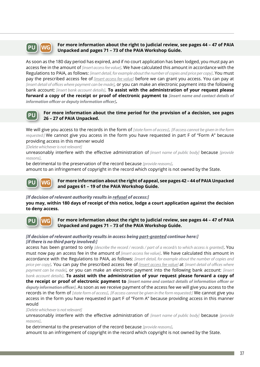

**PU WG For more information about the right to judicial review, see pages 44 – 47 of PAIA Unpacked and pages 71 – 73 of the PAIA Workshop Guide.**

As soon as the 180 day period has expired, and if no court application has been lodged, you must pay an access fee in the amount of *[insert access fee value]*. We have calculated this amount in accordance with the Regulations to PAIA, as follows: *[insert detail, for example about the number of copies and price per copy]*. You must pay the prescribed access fee of *[insert access fee value]* before we can grant you access. You can pay at *[insert detail of offices where payment can be made]*, or you can make an electronic payment into the following bank account: *[insert bank account details]*. **To assist with the administration of your request please forward a copy of the receipt or proof of electronic payment to** *[insert name and contact details of information officer or deputy information officer]***.**



**For more information about the time period for the provision of a decision, see pages 26 – 27 of PAIA Unpacked.**

We will give you access to the records in the form of *[state form of access]*. *[If access cannot be given in the form requested:]* We cannot give you access in the form you have requested in part F of "Form A" because providing access in this manner would

*[Delete whichever is not relevant]*

unreasonably interfere with the effective administration of *[insert name of public body]* because *[provide reasons]*.

be detrimental to the preservation of the record because *[provide reasons]*.

amount to an infringement of copyright in the record which copyright is not owned by the State.

**PU WG For more information about the right of appeal, see pages 42 – 44 of PAIA Unpacked and pages 61 – 19 of the PAIA Workshop Guide.**

#### *[If decision of relevant authority results in refusal of access:]*

**you may, within 180 days of receipt of this notice, lodge a court application against the decision to deny access.**



#### **For more information about the right to judicial review, see pages 44 – 47 of PAIA Unpacked and pages 71 – 73 of the PAIA Workshop Guide.**

#### *[If decision of relevant authority results in access being part-granted continue here:] [if there is no third party involved:]*

access has been granted to only *[describe the record / records / part of a record/s to which access is granted]*. You must now pay an access fee in the amount of *[insert access fee value]*. We have calculated this amount in accordance with the Regulations to PAIA, as follows: *[insert detail, for example about the number of copies and price per copy]*. You can pay the prescribed access fee of *[insert access fee value]* at *[insert detail of offices where payment can be made]*, or you can make an electronic payment into the following bank account: *[insert bank account details]*. **To assist with the administration of your request please forward a copy of the receipt or proof of electronic payment to** *[insert name and contact details of information officer or deputy information officer]*. As soon as we receive payment of the access fee we will give you access to the records in the form of *[state form of access]*. *[If access cannot be given in the form requested:]* We cannot give you access in the form you have requested in part F of "Form A" because providing access in this manner would

*[Delete whichever is not relevant]*

unreasonably interfere with the effective administration of *[insert name of public body]* because *[provide reasons]*.

be detrimental to the preservation of the record because *[provide reasons]*.

amount to an infringement of copyright in the record which copyright is not owned by the State.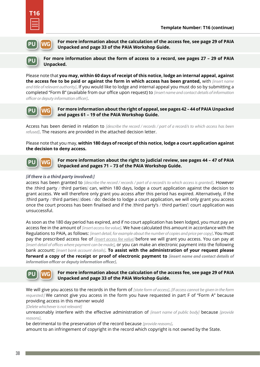



**For more information about the calculation of the access fee, see page 29 of PAIA Unpacked and page 33 of the PAIA Workshop Guide.**



**For more information about the form of access to a record, see pages 27 – 29 of PAIA Unpacked.**

Please note that **you may, within 60 days of receipt of this notice, lodge an internal appeal, against the access fee to be paid or against the form in which access has been granted,** with *[insert name and title of relevant authority]*. If you would like to lodge and internal appeal you must do so by submitting a completed "Form B" (available from our office upon request) to *[insert name and contact details of information officer or deputy information officer]*.



**For more information about the right of appeal, see pages 42 – 44 of PAIA Unpacked and pages 61 – 19 of the PAIA Workshop Guide.**

Access has been denied in relation to *[describe the record / records / part of a record/s to which access has been refused]*. The reasons are provided in the attached decision letter.

Please note that you may, **within 180 days of receipt of this notice, lodge a court application against the decision to deny access.**



**For more information about the right to judicial review, see pages 44 – 47 of PAIA Unpacked and pages 71 – 73 of the PAIA Workshop Guide.**

#### *[if there is a third party involved:]*

access has been granted to *[describe the record / records / part of a record/s to which access is granted]*. However the *[*third party */* third parties*]* can, within 180 days, lodge a court application against the decision to grant access. We will therefore only grant you access after this period has expired. Alternatively, if the *[*third party */* third parties*] [*does */* do*]* decide to lodge a court application, we will only grant you access once the court process has been finalised and if the *[*third party's */* third parties'*]* court application was unsuccessful.

As soon as the 180 day period has expired, and if no court application has been lodged, you must pay an access fee in the amount of *[insert access fee value]*. We have calculated this amount in accordance with the Regulations to PAIA, as follows: *[insert detail, for example about the number of copies and price per copy]*. You must pay the prescribed access fee of *[insert access fee value]* before we will grant you access. You can pay at *[insert detail of offices where payment can be made]*, or you can make an electronic payment into the following bank account: *[insert bank account details]*. **To assist with the administration of your request please forward a copy of the receipt or proof of electronic payment to** *[insert name and contact details of information officer or deputy information officer]*.



#### **For more information about the calculation of the access fee, see page 29 of PAIA Unpacked and page 33 of the PAIA Workshop Guide.**

We will give you access to the records in the form of *[state form of access]*. *[If access cannot be given in the form requested:]* We cannot give you access in the form you have requested in part F of "Form A" because providing access in this manner would

*[Delete whichever is not relevant]*

unreasonably interfere with the effective administration of *[insert name of public body]* because *[provide reasons]*.

be detrimental to the preservation of the record because *[provide reasons]*.

amount to an infringement of copyright in the record which copyright is not owned by the State.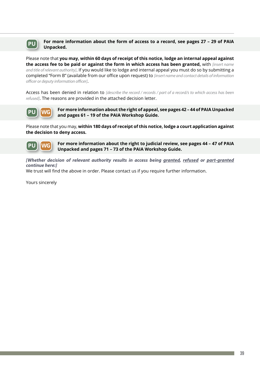

#### **PU** For more information about the form of access to a record, see pages 27 - 29 of PAIA **Unpacked.**

Please note that **you may, within 60 days of receipt of this notice, lodge an internal appeal against the access fee to be paid or against the form in which access has been granted,** with *[insert name and title of relevant authority]*. If you would like to lodge and internal appeal you must do so by submitting a completed "Form B" (available from our office upon request) to *[insert name and contact details of information officer or deputy information officer]*.

Access has been denied in relation to *[describe the record / records / part of a record/s to which access has been refused]*. The reasons are provided in the attached decision letter.



**For more information about the right of appeal, see pages 42 – 44 of PAIA Unpacked and pages 61 – 19 of the PAIA Workshop Guide.**

Please note that you may, **within 180 days of receipt of this notice, lodge a court application against the decision to deny access.**

**PU WG**

**For more information about the right to judicial review, see pages 44 – 47 of PAIA Unpacked and pages 71 – 73 of the PAIA Workshop Guide.**

*[Whether decision of relevant authority results in access being granted, refused or part-granted continue here:]*

We trust will find the above in order. Please contact us if you require further information.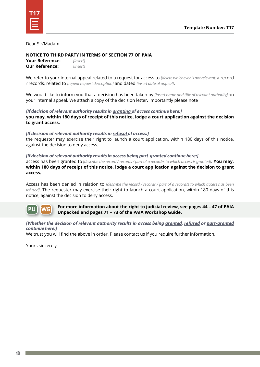#### Dear Sir/Madam

#### **NOTICE TO THIRD PARTY IN TERMS OF SECTION 77 OF PAIA**

**Your Reference:** *[Insert]* **Our Reference:** *[Insert]*

We refer to your internal appeal related to a request for access to *[delete whichever is not relevant:* a record */* records*]* related to *[repeat request description]* and dated *[insert date of appeal]*.

We would like to inform you that a decision has been taken by *[insert name and title of relevant authority]* on your internal appeal. We attach a copy of the decision letter. Importantly please note

*[If decision of relevant authority results in granting of access continue here:]* **you may, within 180 days of receipt of this notice, lodge a court application against the decision to grant access.**

#### *[If decision of relevant authority results in refusal of access:]*

the requester may exercise their right to launch a court application, within 180 days of this notice, against the decision to deny access.

*[If decision of relevant authority results in access being part-granted continue here:]* access has been granted to *[describe the record / records / part of a record/s to which access is granted]*. **You may, within 180 days of receipt of this notice, lodge a court application against the decision to grant access.**

Access has been denied in relation to *[describe the record / records / part of a record/s to which access has been refused]*. The requester may exercise their right to launch a court application, within 180 days of this notice, against the decision to deny access.

**PU WG For more information about the right to judicial review, see pages 44 – 47 of PAIA Unpacked and pages 71 – 73 of the PAIA Workshop Guide.**

#### *[Whether the decision of relevant authority results in access being granted, refused or part-granted continue here:]*

We trust you will find the above in order. Please contact us if you require further information.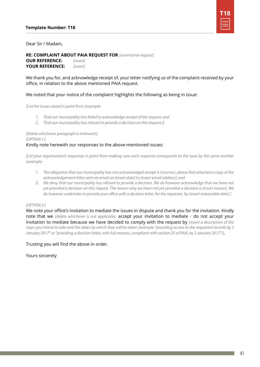

#### Dear Sir / Madam,

## **RE: COMPLAINT ABOUT PAIA REQUEST FOR** *[summarise request]*

**OUR REFERENCE:** *[insert]* **YOUR REFERENCE:** *[insert]*

We thank you for, and acknowledge receipt of, your letter notifying us of the complaint received by your office, in relation to the above mentioned PAIA request.

#### We noted that your notice of the complaint highlights the following as being in issue:

*[List the issues raised in point form (example:*

- 1. *That our municipality has failed to acknowledge receipt of the request; and*
- 2. *That our municipality has refused to provide a decision on this request.)]*

#### *[Delete whichever paragraph is irrelevant:]*

*[OPTION 1:]*

#### Kindly note herewith our responses to the above-mentioned issues:

*[List your organisation's responses in point form making sure each response corresponds to the issue by the same number (example:*

- 1. *The allegation that our municipality has not acknowledged receipt is incorrect, please find attached a copy of the acknowledgement letter sent via email on [insert date] to [insert email address]; and*
- 2. *We deny that our municipality has refused to provide a decision. We do however acknowledge that we have not yet provided a decision on this request. The reason why we have not yet provided a decision is [insert reason]. We do however undertake to provide your office with a decision letter, for the requester, by [insert reasonable date].]*

#### *[OPTION 2:]*

We note your office's invitation to mediate the issues in dispute and thank you for the invitation. Kindly note that we *[delete whichever is not applicable:* accept your invitation to mediate */* do not accept your invitation to mediate because we have decided to comply with the request by *[insert a description of the steps you intend to take and the dates by which they will be taken (example "providing access to the requested records by 3 January 2017" or "providing a decision letter, with full reasons, compliant with section 25 of PAIA, by 3 January 2017")]*.

#### Trusting you will find the above in order.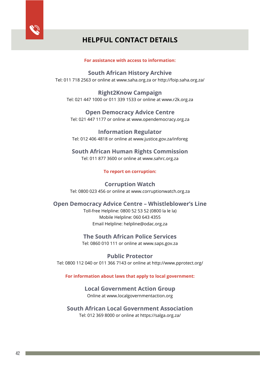

## **HELPFUL CONTACT DETAILS**

#### **For assistance with access to information:**

**South African History Archive** Tel: 011 718 2563 or online at www.saha.org.za or http://foip.saha.org.za/

**Right2Know Campaign** Tel: 021 447 1000 or 011 339 1533 or online at www.r2k.org.za

**Open Democracy Advice Centre** Tel: 021 447 1177 or online at www.opendemocracy.org.za

**Information Regulator** Tel: 012 406 4818 or online at www.justice.gov.za/inforeg

**South African Human Rights Commission** Tel: 011 877 3600 or online at www.sahrc.org.za

**To report on corruption:**

**Corruption Watch** Tel: 0800 023 456 or online at www.corruptionwatch.org.za

## **Open Democracy Advice Centre – Whistleblower's Line**

Toll-free Helpline: 0800 52 53 52 (0800 la le la) Mobile Helpline: 060 643 4355 Email Helpline: helpline@odac.org.za

#### **The South African Police Services**

Tel: 0860 010 111 or online at www.saps.gov.za

**Public Protector** Tel: 0800 112 040 or 011 366 7143 or online at http://www.pprotect.org/

**For information about laws that apply to local government:**

**Local Government Action Group** Online at www.localgovernmentaction.org

**South African Local Government Association**

Tel: 012 369 8000 or online at https://salga.org.za/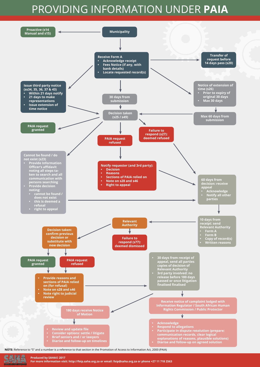## PROVIDING INFORMATION UNDER **PAIA**



**Produced by SAHA© 2017**

**PERMIT RESIDENCE**